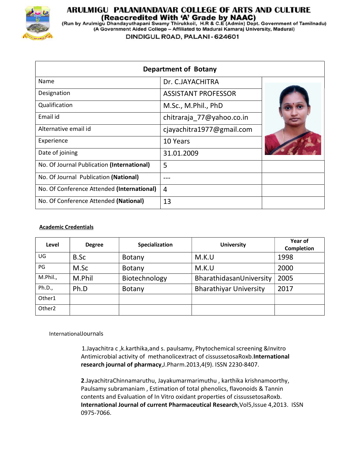

## ARULMIGU PALANIANDAVAR COLLEGE OF ARTS AND CULTURE

(Reaccredited With 'A' Grade by NAAC)<br>(Run by Arulmigu Dhandayuthapani Swamy Thirukkoil, H.R & C.E (Admin) Dept. Government of Tamilnadu)<br>(A Government Aided College – Affiliated to Madurai Kamaraj University, Madurai)

DINDIGUL ROAD, PALANI - 624601

| <b>Department of Botany</b>                |                            |  |  |  |
|--------------------------------------------|----------------------------|--|--|--|
| Name                                       | Dr. C.JAYACHITRA           |  |  |  |
| Designation                                | <b>ASSISTANT PROFESSOR</b> |  |  |  |
| Qualification                              | M.Sc., M.Phil., PhD        |  |  |  |
| Email id                                   | chitraraja_77@yahoo.co.in  |  |  |  |
| Alternative email id                       | cjayachitra1977@gmail.com  |  |  |  |
| Experience                                 | 10 Years                   |  |  |  |
| Date of joining                            | 31.01.2009                 |  |  |  |
| No. Of Journal Publication (International) | 5                          |  |  |  |
| No. Of Journal Publication (National)      |                            |  |  |  |
| No. Of Conference Attended (International) | 4                          |  |  |  |
| No. Of Conference Attended (National)      | 13                         |  |  |  |

## Academic Credentials

| Level              | <b>Degree</b> | Specialization | <b>University</b>             | Year of<br><b>Completion</b> |
|--------------------|---------------|----------------|-------------------------------|------------------------------|
| UG                 | B.Sc          | Botany         | M.K.U                         | 1998                         |
| PG                 | M.Sc          | Botany         | M.K.U                         | 2000                         |
| M.Phil.,           | M.Phil        | Biotechnology  | BharathidasanUniversity       | 2005                         |
| Ph.D.,             | Ph.D          | Botany         | <b>Bharathiyar University</b> | 2017                         |
| Other1             |               |                |                               |                              |
| Other <sub>2</sub> |               |                |                               |                              |

InternationalJournals

1.Jayachitra c ,k.karthika,and s. paulsamy, Phytochemical screening &Invitro Antimicrobial activity of methanolicextract of cissussetosaRoxb.International research journal of pharmacy,J.Pharm.2013,4(9). ISSN 2230-8407.

2.JayachitraChinnamaruthu, Jayakumarmarimuthu , karthika krishnamoorthy, Paulsamy subramaniam , Estimation of total phenolics, flavonoids & Tannin contents and Evaluation of In Vitro oxidant properties of cissussetosaRoxb. International Journal of current Pharmaceutical Research,Vol5,Issue 4,2013. ISSN 0975-7066.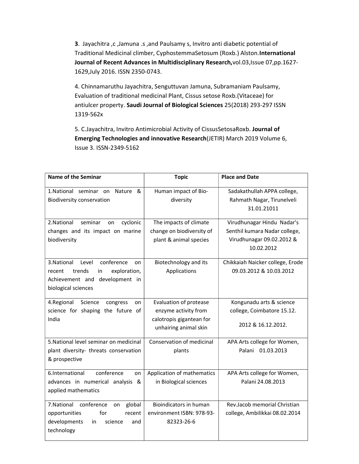3. Jayachitra ,c ,Jamuna .s ,and Paulsamy s, Invitro anti diabetic potential of Traditional Medicinal climber, CyphostemmaSetosum (Roxb.) Alston.International Journal of Recent Advances in Multidisciplinary Research,vol.03,Issue 07,pp.1627- 1629,July 2016. ISSN 2350-0743.

4. Chinnamaruthu Jayachitra, Senguttuvan Jamuna, Subramaniam Paulsamy, Evaluation of traditional medicinal Plant, Cissus setose Roxb.(Vitaceae) for antiulcer property. Saudi Journal of Biological Sciences 25(2018) 293-297 ISSN 1319-562x

5. C.Jayachitra, Invitro Antimicrobial Activity of CissusSetosaRoxb. Journal of Emerging Technologies and innovative Research(JETIR) March 2019 Volume 6, Issue 3. ISSN-2349-5162

| <b>Name of the Seminar</b>                                                                                                                  | <b>Topic</b>                                                                                        | <b>Place and Date</b>                                                                                  |
|---------------------------------------------------------------------------------------------------------------------------------------------|-----------------------------------------------------------------------------------------------------|--------------------------------------------------------------------------------------------------------|
| 1.National seminar on<br>Nature<br>&<br><b>Biodiversity conservation</b>                                                                    | Human impact of Bio-<br>diversity                                                                   | Sadakathullah APPA college,<br>Rahmath Nagar, Tirunelveli<br>31.01.21011                               |
| cyclonic<br>2. National<br>seminar<br>on<br>changes and its impact on marine<br>biodiversity                                                | The impacts of climate<br>change on biodiversity of<br>plant & animal species                       | Virudhunagar Hindu Nadar's<br>Senthil kumara Nadar college,<br>Virudhunagar 09.02.2012 &<br>10.02.2012 |
| conference<br>3. National<br>Level<br>on<br>trends<br>exploration,<br>recent<br>in<br>Achievement and development in<br>biological sciences | Biotechnology and its<br>Applications                                                               | Chikkaiah Naicker college, Erode<br>09.03.2012 & 10.03.2012                                            |
| 4.Regional<br>Science<br>congress<br>on<br>science for shaping the future of<br>India                                                       | Evaluation of protease<br>enzyme activity from<br>calotropis gigantean for<br>unhairing animal skin | Kongunadu arts & science<br>college, Coimbatore 15.12.<br>2012 & 16.12.2012.                           |
| 5. National level seminar on medicinal<br>plant diversity- threats conservation<br>& prospective                                            | Conservation of medicinal<br>plants                                                                 | APA Arts college for Women,<br>Palani<br>01.03.2013                                                    |
| 6.International<br>conference<br>on<br>advances in numerical analysis &<br>applied mathematics                                              | Application of mathematics<br>in Biological sciences                                                | APA Arts college for Women,<br>Palani 24.08.2013                                                       |
| 7.National conference<br>global<br>on<br>opportunities<br>for<br>recent<br>developments<br>science<br>in<br>and<br>technology               | Bioindicators in human<br>environment ISBN: 978-93-<br>82323-26-6                                   | Rev.Jacob memorial Christian<br>college, Ambilikkai 08.02.2014                                         |